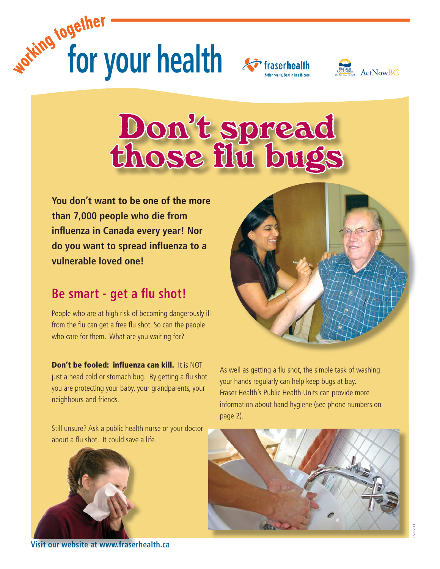





## Don't spread<br>those flu bugs

**You don't want to be one of the more nt more than 7,000 people who die from infl uenza in Canada every year! Nor do you want to spread influenza to a vulnerable loved one!**

## **Be smart - get a flu shot!**

People who are at high risk of becoming dangerously ill from the flu can get a free flu shot. So can the people who care for them. What are you waiting for?

**Don't be fooled: influenza can kill.** It is NOT just a head cold or stomach bug. By getting a flu shot you are protecting your baby, your grandparents, your neighbours and friends.

Still unsure? Ask a public health nurse or your doctor about a flu shot. It could save a life.



**Visit our website at www.fraserhealth.ca www.fraserhea**



As well as getting a flu shot, the simple task of washing your hands regularly can help keep bugs at bay. Fraser Health's Public Health Units can provide more information about hand hygiene (see phone numbers on page 2).